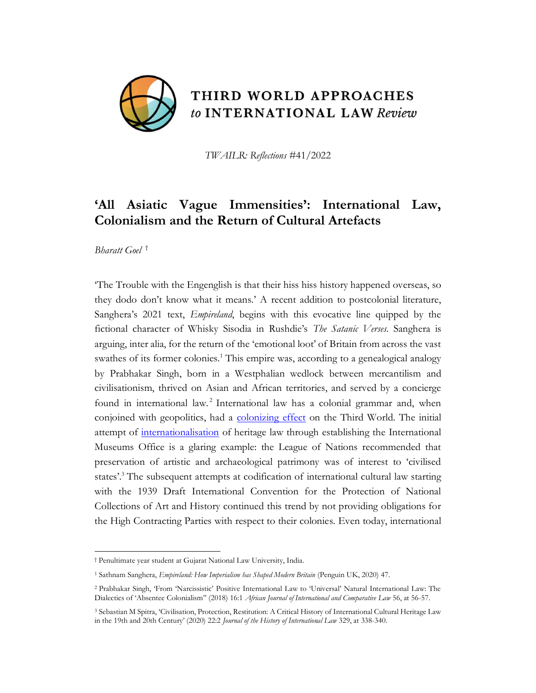

THIRD WORLD APPROACHES to INTERNATIONAL LAW Review

*TWAILR: Reflections* #41/2022

# **'All Asiatic Vague Immensities': International Law, Colonialism and the Return of Cultural Artefacts**

*Bharatt Goel* †

'The Trouble with the Engenglish is that their hiss hiss history happened overseas, so they dodo don't know what it means.' A recent addition to postcolonial literature, Sanghera's 2021 text, *Empireland*, begins with this evocative line quipped by the fictional character of Whisky Sisodia in Rushdie's *The Satanic Verses*. Sanghera is arguing, inter alia, for the return of the 'emotional loot' of Britain from across the vast swathes of its former colonies.<sup>1</sup> This empire was, according to a genealogical analogy by Prabhakar Singh, born in a Westphalian wedlock between mercantilism and civilisationism, thrived on Asian and African territories, and served by a concierge found in international law.<sup>2</sup> International law has a colonial grammar and, when conjoined with geopolitics, had a [colonizing effect](https://www.e-ir.info/2010/06/08/the-colonial-nature-of-international-law/) on the Third World. The initial attempt of [internationalisation](https://brill.com/view/journals/jhil/22/2-3/article-p329_7.xml?language=en&ebody=pdf-46507) of heritage law through establishing the International Museums Office is a glaring example: the League of Nations recommended that preservation of artistic and archaeological patrimony was of interest to 'civilised states'.<sup>3</sup> The subsequent attempts at codification of international cultural law starting with the 1939 Draft International Convention for the Protection of National Collections of Art and History continued this trend by not providing obligations for the High Contracting Parties with respect to their colonies. Even today, international

<sup>†</sup> Penultimate year student at Gujarat National Law University, India.

<sup>1</sup> Sathnam Sanghera, *Empireland: How Imperialism has Shaped Modern Britain* (Penguin UK, 2020) 47.

<sup>2</sup> Prabhakar Singh, 'From 'Narcissistic' Positive International Law to 'Universal' Natural International Law: The Dialectics of 'Absentee Colonialism'' (2018) 16:1 *African Journal of International and Comparative Law* 56, at 56-57.

<sup>3</sup> Sebastian M Spitra, 'Civilisation, Protection, Restitution: A Critical History of International Cultural Heritage Law in the 19th and 20th Century' (2020) 22:2 *Journal of the History of International Law* 329, at 338-340.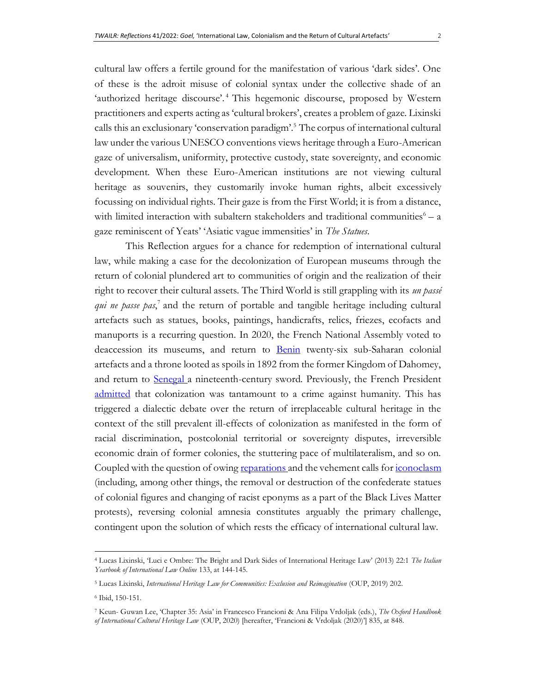cultural law offers a fertile ground for the manifestation of various 'dark sides'. One of these is the adroit misuse of colonial syntax under the collective shade of an 'authorized heritage discourse'.<sup>4</sup> This hegemonic discourse, proposed by Western practitioners and experts acting as 'cultural brokers', creates a problem of gaze. Lixinski calls this an exclusionary 'conservation paradigm'.<sup>5</sup> The corpus of international cultural law under the various UNESCO conventions views heritage through a Euro-American gaze of universalism, uniformity, protective custody, state sovereignty, and economic development. When these Euro-American institutions are not viewing cultural heritage as souvenirs, they customarily invoke human rights, albeit excessively focussing on individual rights. Their gaze is from the First World; it is from a distance, with limited interaction with subaltern stakeholders and traditional communities  $\epsilon - a$ gaze reminiscent of Yeats' 'Asiatic vague immensities' in *The Statues*.

This Reflection argues for a chance for redemption of international cultural law, while making a case for the decolonization of European museums through the return of colonial plundered art to communities of origin and the realization of their right to recover their cultural assets. The Third World is still grappling with its *un passé qui ne passe pas*, 7 and the return of portable and tangible heritage including cultural artefacts such as statues, books, paintings, handicrafts, relics, friezes, ecofacts and manuports is a recurring question. In 2020, the French National Assembly voted to deaccession its museums, and return to [Benin](https://www.bbc.com/news/world-europe-55356374) twenty-six sub-Saharan colonial artefacts and a throne looted as spoils in 1892 from the former Kingdom of Dahomey, and return to [Senegal](https://www.bbc.com/news/world-africa-50458081) a nineteenth-century sword. Previously, the French President [admitted](https://www.aljazeera.com/news/2021/1/20/macron-rules-out-official-apology-for-colonial-abuses-in-algeria) that colonization was tantamount to a crime against humanity. This has triggered a dialectic debate over the return of irreplaceable cultural heritage in the context of the still prevalent ill-effects of colonization as manifested in the form of racial discrimination, postcolonial territorial or sovereignty disputes, irreversible economic drain of former colonies, the stuttering pace of multilateralism, and so on. Coupled with the question of owin[g reparations](https://www.ohchr.org/en/NewsEvents/Pages/DisplayNews.aspx?NewsID=25224&LangID=E) and the vehement calls fo[r iconoclasm](https://www.nationalgeographic.com/history/article/confederate-monuments-fall-question-how-rewrite-history) (including, among other things, the removal or destruction of the confederate statues of colonial figures and changing of racist eponyms as a part of the Black Lives Matter protests), reversing colonial amnesia constitutes arguably the primary challenge, contingent upon the solution of which rests the efficacy of international cultural law.

<sup>4</sup> Lucas Lixinski, 'Luci e Ombre: The Bright and Dark Sides of International Heritage Law' (2013) 22:1 *The Italian Yearbook of International Law Online* 133, at 144-145.

<sup>&</sup>lt;sup>5</sup> Lucas Lixinski, *International Heritage Law for Communities: Exclusion and Reimagination* (OUP, 2019) 202.

<sup>6</sup> Ibid, 150-151.

<sup>7</sup> Keun- Guwan Lee, 'Chapter 35: Asia' in Francesco Francioni & Ana Filipa Vrdoljak (eds.), *The Oxford Handbook of International Cultural Heritage Law* (OUP, 2020) [hereafter, 'Francioni & Vrdoljak (2020)'] 835, at 848.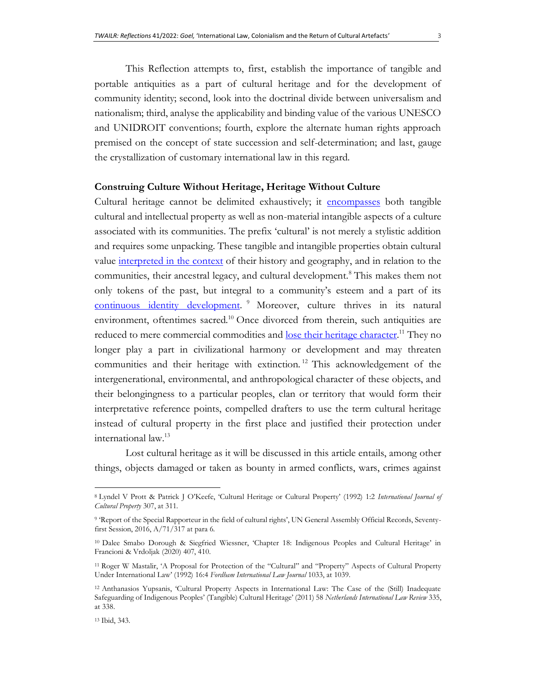This Reflection attempts to, first, establish the importance of tangible and portable antiquities as a part of cultural heritage and for the development of community identity; second, look into the doctrinal divide between universalism and nationalism; third, analyse the applicability and binding value of the various UNESCO and UNIDROIT conventions; fourth, explore the alternate human rights approach premised on the concept of state succession and self-determination; and last, gauge the crystallization of customary international law in this regard.

# **Construing Culture Without Heritage, Heritage Without Culture**

Cultural heritage cannot be delimited exhaustively; it [encompasses](http://www.unesco.org/new/en/culture/themes/illicit-trafficking-of-cultural-property/unesco-database-of-national-cultural-heritage-laws/frequently-asked-questions/definition-of-the-cultural-heritage/) both tangible cultural and intellectual property as well as non-material intangible aspects of a culture associated with its communities. The prefix 'cultural' is not merely a stylistic addition and requires some unpacking. These tangible and intangible properties obtain cultural value [interpreted in the context](https://www.cambridge.org/core/services/aop-cambridge-core/content/view/S094073919200033X) of their history and geography, and in relation to the communities, their ancestral legacy, and cultural development.<sup>8</sup> This makes them not only tokens of the past, but integral to a community's esteem and a part of its [continuous identity development.](https://undocs.org/pdf?symbol=en/A/71/317)<sup>9</sup> Moreover, culture thrives in its natural environment, oftentimes sacred.<sup>10</sup> Once divorced from therein, such antiquities are reduced to mere commercial commodities and [lose their heritage character.](https://ir.lawnet.fordham.edu/cgi/viewcontent.cgi?article=1359&context=ilj)<sup>11</sup> They no longer play a part in civilizational harmony or development and may threaten communities and their heritage with extinction.<sup>12</sup> This acknowledgement of the intergenerational, environmental, and anthropological character of these objects, and their belongingness to a particular peoples, clan or territory that would form their interpretative reference points, compelled drafters to use the term cultural heritage instead of cultural property in the first place and justified their protection under international law.<sup>13</sup>

Lost cultural heritage as it will be discussed in this article entails, among other things, objects damaged or taken as bounty in armed conflicts, wars, crimes against

<sup>8</sup> Lyndel V Prott & Patrick J O'Keefe, 'Cultural Heritage or Cultural Property' (1992) 1:2 *International Journal of Cultural Property* 307, at 311.

<sup>9</sup> 'Report of the Special Rapporteur in the field of cultural rights', UN General Assembly Official Records, Seventyfirst Session, 2016, A/71/317 at para 6.

<sup>10</sup> Dalee Smabo Dorough & Siegfried Wiessner, 'Chapter 18: Indigenous Peoples and Cultural Heritage' in Francioni & Vrdoljak (2020) 407, 410.

<sup>11</sup> Roger W Mastalir, 'A Proposal for Protection of the "Cultural" and "Property" Aspects of Cultural Property Under International Law' (1992) 16:4 *Fordham International Law Journal* 1033, at 1039.

<sup>12</sup> Anthanasios Yupsanis, 'Cultural Property Aspects in International Law: The Case of the (Still) Inadequate Safeguarding of Indigenous Peoples' (Tangible) Cultural Heritage' (2011) 58 *Netherlands International Law Review* 335, at 338.

<sup>13</sup> Ibid, 343.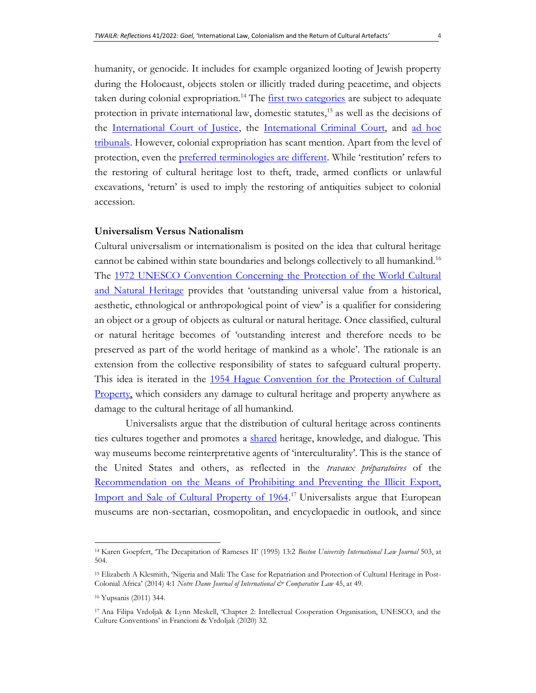humanity, or genocide. It includes for example organized looting of Jewish property during the Holocaust, objects stolen or illicitly traded during peacetime, and objects taken during colonial expropriation.<sup>14</sup> The *first two categories* are subject to adequate protection in private international law, domestic statutes,<sup>15</sup> as well as the decisions of the [International Court of Justice,](https://www.icj-cij.org/public/files/case-related/151/151-20131111-JUD-01-00-EN.pdf) the [International Criminal Court,](https://www.icc-cpi.int/Pages/item.aspx?name=pr1329) and ad hoc [tribunals.](https://www.icty.org/x/cases/miodrag_jokic/tjug/en/jok-sj040318e.pdf) However, colonial expropriation has scant mention. Apart from the level of protection, even the [preferred terminologies are different](https://voelkerrechtsblog.org/artefact-or-heritage/). While 'restitution' refers to the restoring of cultural heritage lost to theft, trade, armed conflicts or unlawful excavations, 'return' is used to imply the restoring of antiquities subject to colonial accession.

### **Universalism Versus Nationalism**

Cultural universalism or internationalism is posited on the idea that cultural heritage cannot be cabined within state boundaries and belongs collectively to all humankind.<sup>16</sup> The 1972 UNESCO Convention Concerning the Protection of the World Cultural [and Natural Heritage](https://whc.unesco.org/archive/convention-en.pdf) provides that 'outstanding universal value from a historical, aesthetic, ethnological or anthropological point of view' is a qualifier for considering an object or a group of objects as cultural or natural heritage. Once classified, cultural or natural heritage becomes of 'outstanding interest and therefore needs to be preserved as part of the world heritage of mankind as a whole'*.* The rationale is an extension from the collective responsibility of states to safeguard cultural property. This idea is iterated in the 1954 Hague Convention for the Protection of Cultural [Property,](http://portal.unesco.org/en/ev.php-URL_ID=13637&URL_DO=DO_TOPIC&URL_SECTION=201.html) which considers any damage to cultural heritage and property anywhere as damage to the cultural heritage of all humankind.

Universalists argue that the distribution of cultural heritage across continents ties cultures together and promotes a [shared](https://www.hermitagemuseum.org/wps/portal/hermitage/news/news-item/news/1999_2013/hm11_1_93/?lng=) heritage, knowledge, and dialogue. This way museums become reinterpretative agents of 'interculturality'. This is the stance of the United States and others, as reflected in the *travaux préparatoires* of the [Recommendation on the Means of Prohibiting and Preventing the Illicit Export,](http://portal.unesco.org/en/ev.php-URL_ID=13083&URL_DO=DO_TOPIC&URL_SECTION=201.html)  [Import and Sale of Cultural Property of 1964.](http://portal.unesco.org/en/ev.php-URL_ID=13083&URL_DO=DO_TOPIC&URL_SECTION=201.html)<sup>17</sup> Universalists argue that European museums are non-sectarian, cosmopolitan, and encyclopaedic in outlook, and since

<sup>14</sup> Karen Goepfert, 'The Decapitation of Rameses II' (1995) 13:2 *Boston University International Law Journal* 503, at 504.

<sup>15</sup> Elizabeth A Klesmith, 'Nigeria and Mali: The Case for Repatriation and Protection of Cultural Heritage in Post-Colonial Africa' (2014) 4:1 *Notre Dame Journal of International & Comparative Law* 45, at 49.

<sup>16</sup> Yupsanis (2011) 344.

<sup>17</sup> Ana Filipa Vrdoljak & Lynn Meskell, 'Chapter 2: Intellectual Cooperation Organisation, UNESCO, and the Culture Conventions' in Francioni & Vrdoljak (2020) 32.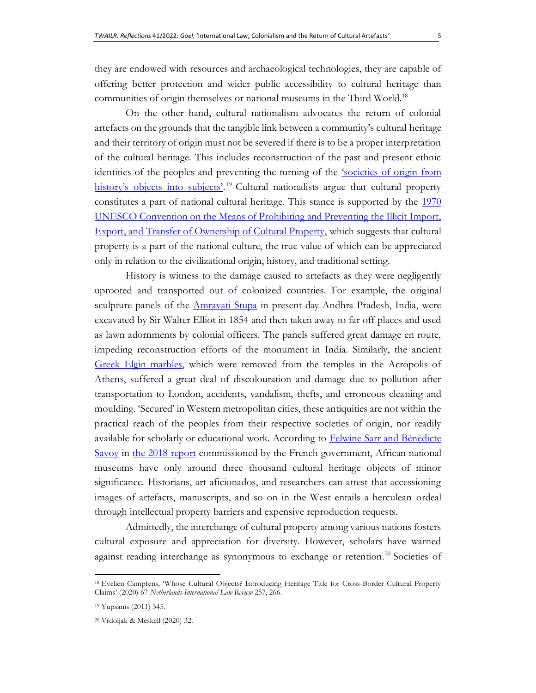they are endowed with resources and archaeological technologies, they are capable of offering better protection and wider public accessibility to cultural heritage than communities of origin themselves or national museums in the Third World.<sup>18</sup>

On the other hand, cultural nationalism advocates the return of colonial artefacts on the grounds that the tangible link between a community's cultural heritage and their territory of origin must not be severed if there is to be a proper interpretation of the cultural heritage. This includes reconstruction of the past and present ethnic identities of the peoples and preventing the turning of the ['societies of origin](https://www.cambridge.org/core/services/aop-cambridge-core/content/view/1C0E93855E9919562A90534224164BEA/S0922156520000370a.pdf/div-class-title-reckoning-with-colonial-injustice-international-law-as-culprit-and-as-remedy-div.pdf) from [history's objects into subjects'](https://www.cambridge.org/core/services/aop-cambridge-core/content/view/1C0E93855E9919562A90534224164BEA/S0922156520000370a.pdf/div-class-title-reckoning-with-colonial-injustice-international-law-as-culprit-and-as-remedy-div.pdf).<sup>19</sup> Cultural nationalists argue that cultural property constitutes a part of national cultural heritage. This stance is supported by the [1970](http://portal.unesco.org/en/ev.php-URL_ID=13039&URL_DO=DO_TOPIC&URL_SECTION=201.html)  [UNESCO Convention on the Means of Prohibiting and Preventing the Illicit Import,](http://portal.unesco.org/en/ev.php-URL_ID=13039&URL_DO=DO_TOPIC&URL_SECTION=201.html)  [Export, and Transfer of Ownership of Cultural Property,](http://portal.unesco.org/en/ev.php-URL_ID=13039&URL_DO=DO_TOPIC&URL_SECTION=201.html) which suggests that cultural property is a part of the national culture, the true value of which can be appreciated only in relation to the civilizational origin, history, and traditional setting.

History is witness to the damage caused to artefacts as they were negligently uprooted and transported out of colonized countries. For example, the original sculpture panels of the *Amravati Stupa* in present-day Andhra Pradesh, India, were excavated by Sir Walter Elliot in 1854 and then taken away to far off places and used as lawn adornments by colonial officers. The panels suffered great damage en route, impeding reconstruction efforts of the monument in India. Similarly, the ancient [Greek Elgin marbles,](https://www.theguardian.com/uk/1999/nov/12/helenasmith) which were removed from the temples in the Acropolis of Athens, suffered a great deal of discolouration and damage due to pollution after transportation to London, accidents, vandalism, thefts, and erroneous cleaning and moulding. 'Secured' in Western metropolitan cities, these antiquities are not within the practical reach of the peoples from their respective societies of origin, nor readily available for scholarly or educational work. According to Felwine Sarr and Bénédicte [Savoy](http://restitutionreport2018.com/sarr_savoy_en.pdf) in [the 2018 report](http://restitutionreport2018.com/sarr_savoy_en.pdf) commissioned by the French government, African national museums have only around three thousand cultural heritage objects of minor significance. Historians, art aficionados, and researchers can attest that accessioning images of artefacts, manuscripts, and so on in the West entails a herculean ordeal through intellectual property barriers and expensive reproduction requests.

Admittedly, the interchange of cultural property among various nations fosters cultural exposure and appreciation for diversity. However, scholars have warned against reading interchange as synonymous to exchange or retention.<sup>20</sup> Societies of

<sup>18</sup> Evelien Campfens, 'Whose Cultural Objects? Introducing Heritage Title for Cross-Border Cultural Property Claims' (2020) 67 *Netherlands International Law Review* 257, 266.

<sup>19</sup> Yupsanis (2011) 345.

<sup>20</sup> Vrdoljak & Meskell (2020) 32.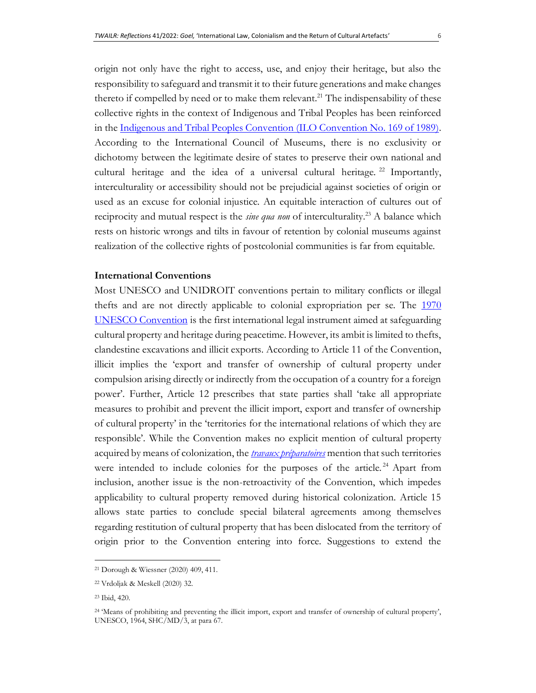origin not only have the right to access, use, and enjoy their heritage, but also the responsibility to safeguard and transmit it to their future generations and make changes thereto if compelled by need or to make them relevant.<sup>21</sup> The indispensability of these collective rights in the context of Indigenous and Tribal Peoples has been reinforced in the [Indigenous and Tribal Peoples Convention \(ILO Convention No. 169 of 1989\).](https://www.un.org/en/genocideprevention/documents/atrocity-crimes/Doc.16_Indigenous%20and%20Tribal%20Peoples%20Convention.pdf) According to the International Council of Museums, there is no exclusivity or dichotomy between the legitimate desire of states to preserve their own national and cultural heritage and the idea of a universal cultural heritage.  $22$  Importantly, interculturality or accessibility should not be prejudicial against societies of origin or used as an excuse for colonial injustice. An equitable interaction of cultures out of reciprocity and mutual respect is the *sine qua non* of interculturality.<sup>23</sup> A balance which rests on historic wrongs and tilts in favour of retention by colonial museums against realization of the collective rights of postcolonial communities is far from equitable.

# **International Conventions**

Most UNESCO and UNIDROIT conventions pertain to military conflicts or illegal thefts and are not directly applicable to colonial expropriation per se. The [1970](http://portal.unesco.org/en/ev.php-URL_ID=13039&URL_DO=DO_TOPIC&URL_SECTION=201.html)  [UNESCO Convention](http://portal.unesco.org/en/ev.php-URL_ID=13039&URL_DO=DO_TOPIC&URL_SECTION=201.html) is the first international legal instrument aimed at safeguarding cultural property and heritage during peacetime. However, its ambit is limited to thefts, clandestine excavations and illicit exports. According to Article 11 of the Convention, illicit implies the 'export and transfer of ownership of cultural property under compulsion arising directly or indirectly from the occupation of a country for a foreign power'. Further, Article 12 prescribes that state parties shall 'take all appropriate measures to prohibit and prevent the illicit import, export and transfer of ownership of cultural property' in the 'territories for the international relations of which they are responsible'. While the Convention makes no explicit mention of cultural property acquired by means of colonization, the *[travaux préparatoires](https://unesdoc.unesco.org/ark:/48223/pf0000068688/PDF/068688engo.pdf.multi)* mention that such territories were intended to include colonies for the purposes of the article.<sup>24</sup> Apart from inclusion, another issue is the non-retroactivity of the Convention, which impedes applicability to cultural property removed during historical colonization. Article 15 allows state parties to conclude special bilateral agreements among themselves regarding restitution of cultural property that has been dislocated from the territory of origin prior to the Convention entering into force. Suggestions to extend the

<sup>21</sup> Dorough & Wiessner (2020) 409, 411.

<sup>22</sup> Vrdoljak & Meskell (2020) 32.

<sup>23</sup> Ibid, 420.

<sup>24</sup> 'Means of prohibiting and preventing the illicit import, export and transfer of ownership of cultural property', UNESCO, 1964, SHC/MD/3, at para 67.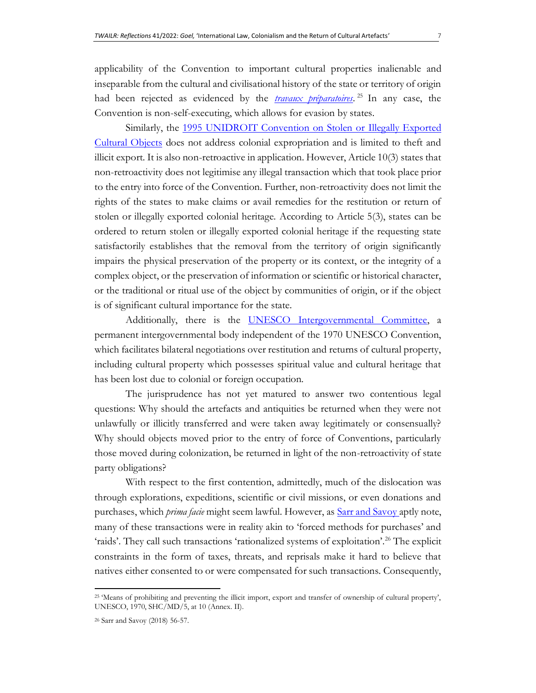applicability of the Convention to important cultural properties inalienable and inseparable from the cultural and civilisational history of the state or territory of origin had been rejected as evidenced by the *[travaux préparatoires](https://unesdoc.unesco.org/ark:/48223/pf0000068690/PDF/068690engo.pdf.multi)*. <sup>25</sup> In any case, the Convention is non-self-executing, which allows for evasion by states.

Similarly, the 1995 UNIDROIT Convention on Stolen or Illegally Exported [Cultural Objects](https://www.unidroit.org/english/conventions/1995culturalproperty/1995culturalproperty-e.pdf) does not address colonial expropriation and is limited to theft and illicit export. It is also non-retroactive in application. However, Article 10(3) states that non-retroactivity does not legitimise any illegal transaction which that took place prior to the entry into force of the Convention. Further, non-retroactivity does not limit the rights of the states to make claims or avail remedies for the restitution or return of stolen or illegally exported colonial heritage. According to Article 5(3), states can be ordered to return stolen or illegally exported colonial heritage if the requesting state satisfactorily establishes that the removal from the territory of origin significantly impairs the physical preservation of the property or its context, or the integrity of a complex object, or the preservation of information or scientific or historical character, or the traditional or ritual use of the object by communities of origin, or if the object is of significant cultural importance for the state.

Additionally, there is the [UNESCO Intergovernmental Committee,](http://www.unesco.org/new/en/culture/themes/restitution-of-cultural-property/intergovernmental-committee/) a permanent intergovernmental body independent of the 1970 UNESCO Convention, which facilitates bilateral negotiations over restitution and returns of cultural property, including cultural property which possesses spiritual value and cultural heritage that has been lost due to colonial or foreign occupation.

The jurisprudence has not yet matured to answer two contentious legal questions: Why should the artefacts and antiquities be returned when they were not unlawfully or illicitly transferred and were taken away legitimately or consensually? Why should objects moved prior to the entry of force of Conventions, particularly those moved during colonization, be returned in light of the non-retroactivity of state party obligations?

With respect to the first contention, admittedly, much of the dislocation was through explorations, expeditions, scientific or civil missions, or even donations and purchases, which *prima facie* might seem lawful. However, as [Sarr and Savoy a](http://restitutionreport2018.com/sarr_savoy_en.pdf)ptly note, many of these transactions were in reality akin to 'forced methods for purchases' and 'raids'. They call such transactions 'rationalized systems of exploitation'.<sup>26</sup> The explicit constraints in the form of taxes, threats, and reprisals make it hard to believe that natives either consented to or were compensated for such transactions. Consequently,

<sup>25</sup> 'Means of prohibiting and preventing the illicit import, export and transfer of ownership of cultural property', UNESCO, 1970, SHC/MD/5, at 10 (Annex. II).

<sup>26</sup> Sarr and Savoy (2018) 56-57.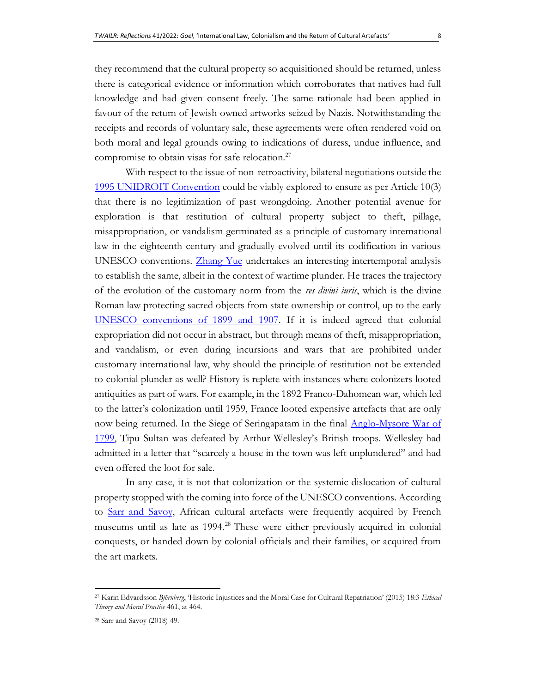they recommend that the cultural property so acquisitioned should be returned, unless there is categorical evidence or information which corroborates that natives had full knowledge and had given consent freely. The same rationale had been applied in favour of the return of Jewish owned artworks seized by Nazis. Notwithstanding the receipts and records of voluntary sale, these agreements were often rendered void on both moral and legal grounds owing to indications of duress, undue influence, and compromise to obtain visas for safe relocation. $27$ 

With respect to the issue of non-retroactivity, bilateral negotiations outside the [1995 UNIDROIT Convention](https://www.unidroit.org/english/conventions/1995culturalproperty/1995culturalproperty-e.pdf) could be viably explored to ensure as per Article 10(3) that there is no legitimization of past wrongdoing. Another potential avenue for exploration is that restitution of cultural property subject to theft, pillage, misappropriation, or vandalism germinated as a principle of customary international law in the eighteenth century and gradually evolved until its codification in various UNESCO conventions. [Zhang Yue](https://watermark.silverchair.com/jmy030.pdf?token=AQECAHi208BE49Ooan9kkhW_Ercy7Dm3ZL_9Cf3qfKAc485ysgAAAq0wggKpBgkqhkiG9w0BBwagggKaMIIClgIBADCCAo8GCSqGSIb3DQEHATAeBglghkgBZQMEAS4wEQQMViPY7_E5Fvek2WUvAgEQgIICYHNbACVPk9JVPEzFAyvmgJMNdPMYs57kHJFpmRusoiwto5uXFo1pA_onwtzOWsjko-AiFRbV5oK3rwOC_wp9hSIUEN_DwskaZHDL3lHPy6S18tHIjFWzL3YL8wI6g5LQdt9RV5OOyFRFSvMGDDM3wedeVuNyPpcyM1a5Uh2wtwJEeq-aj-AxkYgcksYnP6HkxTKweAqEEwVMB1Yv4KE0mWPo4Gz8SaAwJHDcr9nqZtfz04s4LdY9iIEcwhHMeMhJFYWK_YhZ6dIAZeTLY4I0EuLabAqjp5s42fjPZpGcL3GHrPT3NnvNFbIs-dDtf_nBSp3mqP_39JjbdrbPUfXhpAmtqpWDryEJPt8aJO7MFT8qSV-d4HXbsWyGpCP4tdh9ISH_zRZGhi0ZA-NC6tIDCMNIMDnIRym7L9GLl0iEPkHMRfp49LUfRNOeyvybs5rz4PL3WRNNestqyGV19zbamPYZzFSh2czr7u356M5ppXdAiMPm-F4dOdj5FKcuBejUHUpfueFcHH-v-226bp9wTRWGdrYSO7uucctgHsztU703SOFQ60r6R6mrOAPiiSpnfiteIoIWWounELM2tcCvjIYYlHY-nL6Nb5T3KoS5Z-oWqLcDe2TgKMjUQtAP8FykZhXKVxBsLW_Kd8VCXZX3r9w3px_5S673cdmjL9KqvPMiXI-P1LkhbDEzo_pf2GwT2LXcAdsm-h4ezJPiltGVABujrpz7PlqlvZ4FsjZkXkwTJ84MZNic4gBDXofrs5fgX4Wb7jX1k53aO5VXu3ze0TnGygMuQE-l3L1lut4uTm6E) undertakes an interesting intertemporal analysis to establish the same, albeit in the context of wartime plunder. He traces the trajectory of the evolution of the customary norm from the *res divini iuris*, which is the divine Roman law protecting sacred objects from state ownership or control, up to the early [UNESCO conventions of 1899 and 1907.](https://en.unesco.org/courier/2017nian-di-3qi/historic-resolution-protect-cultural-heritage) If it is indeed agreed that colonial expropriation did not occur in abstract, but through means of theft, misappropriation, and vandalism, or even during incursions and wars that are prohibited under customary international law, why should the principle of restitution not be extended to colonial plunder as well? History is replete with instances where colonizers looted antiquities as part of wars. For example, in the 1892 Franco-Dahomean war, which led to the latter's colonization until 1959, France looted expensive artefacts that are only now being returned. In the Siege of Seringapatam in the final Anglo-Mysore War of [1799](https://www.bonhams.com/auctions/19576/lot/163N/?category=list), Tipu Sultan was defeated by Arthur Wellesley's British troops. Wellesley had admitted in a letter that "scarcely a house in the town was left unplundered" and had even offered the loot for sale.

In any case, it is not that colonization or the systemic dislocation of cultural property stopped with the coming into force of the UNESCO conventions. According to [Sarr and Savoy,](http://restitutionreport2018.com/sarr_savoy_en.pdf) African cultural artefacts were frequently acquired by French museums until as late as 1994.<sup>28</sup> These were either previously acquired in colonial conquests, or handed down by colonial officials and their families, or acquired from the art markets.

<sup>27</sup> Karin Edvardsson *Björnberg*, 'Historic Injustices and the Moral Case for Cultural Repatriation' (2015) 18:3 *Ethical Theory and Moral Practice* 461, at 464.

<sup>28</sup> Sarr and Savoy (2018) 49.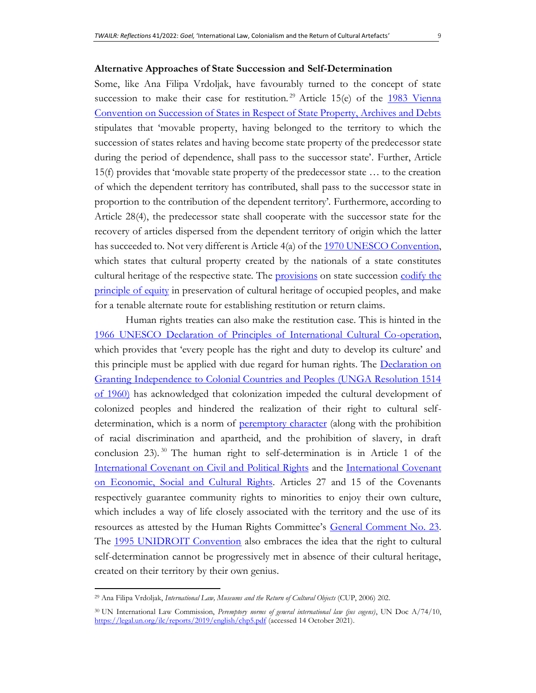#### **Alternative Approaches of State Succession and Self-Determination**

Some, like Ana Filipa Vrdoljak, have favourably turned to the concept of state succession to make their case for restitution.<sup>29</sup> Article 15(e) of the 1983 Vienna [Convention on Succession of States in Respect of State Property, Archives and Debts](https://legal.un.org/ilc/texts/instruments/english/conventions/3_3_1983.pdf) stipulates that 'movable property, having belonged to the territory to which the succession of states relates and having become state property of the predecessor state during the period of dependence, shall pass to the successor state'*.* Further, Article 15(f) provides that 'movable state property of the predecessor state … to the creation of which the dependent territory has contributed, shall pass to the successor state in proportion to the contribution of the dependent territory'. Furthermore, according to Article 28(4), the predecessor state shall cooperate with the successor state for the recovery of articles dispersed from the dependent territory of origin which the latter has succeeded to. Not very different is Article 4(a) of the [1970 UNESCO Convention,](http://portal.unesco.org/en/ev.php-URL_ID=13039&URL_DO=DO_TOPIC&URL_SECTION=201.html) which states that cultural property created by the nationals of a state constitutes cultural heritage of the respective state. The [provisions](https://legal.un.org/diplomaticconferences/1983_succession/docs/english/vol_2.pdf) on state succession codify the [principle of equity](https://legal.un.org/diplomaticconferences/1983_succession/docs/english/vol_2.pdf) in preservation of cultural heritage of occupied peoples, and make for a tenable alternate route for establishing restitution or return claims.

Human rights treaties can also make the restitution case. This is hinted in the [1966 UNESCO Declaration of Principles of International Cultural Co-operation,](http://portal.unesco.org/en/ev.php-URL_ID=13147&URL_DO=DO_TOPIC&URL_SECTION=201.html) which provides that 'every people has the right and duty to develop its culture' and this principle must be applied with due regard for human rights. The Declaration on [Granting Independence to Colonial Countries and Peoples \(UNGA Resolution 1514](https://www.ohchr.org/EN/ProfessionalInterest/Pages/Independence.aspx)  [of 1960\)](https://www.ohchr.org/EN/ProfessionalInterest/Pages/Independence.aspx) has acknowledged that colonization impeded the cultural development of colonized peoples and hindered the realization of their right to cultural selfdetermination, which is a norm of [peremptory character](https://legal.un.org/ilc/reports/2019/english/chp5.pdf) (along with the prohibition of racial discrimination and apartheid, and the prohibition of slavery, in draft conclusion 23). <sup>30</sup> The human right to self-determination is in Article 1 of the [International Covenant on Civil and Political Rights](https://www.ohchr.org/en/professionalinterest/pages/ccpr.aspx) and the [International Covenant](https://www.ohchr.org/en/professionalinterest/pages/cescr.aspx)  [on Economic, Social and Cultural Rights.](https://www.ohchr.org/en/professionalinterest/pages/cescr.aspx) Articles 27 and 15 of the Covenants respectively guarantee community rights to minorities to enjoy their own culture, which includes a way of life closely associated with the territory and the use of its resources as attested by the Human Rights Committee's [General Comment No. 23.](https://documents-dds-ny.un.org/doc/UNDOC/GEN/G94/162/61/PDF/G9416261.pdf?OpenElement) The [1995 UNIDROIT Convention](https://www.unidroit.org/english/conventions/1995culturalproperty/1995culturalproperty-e.pdf) also embraces the idea that the right to cultural self-determination cannot be progressively met in absence of their cultural heritage, created on their territory by their own genius.

<sup>29</sup> Ana Filipa Vrdoljak, *International Law, Museums and the Return of Cultural Objects* (CUP, 2006) 202.

<sup>30</sup> UN International Law Commission, *Peremptory norms of general international law (jus cogens)*, UN Doc A/74/10, <https://legal.un.org/ilc/reports/2019/english/chp5.pdf> (accessed 14 October 2021).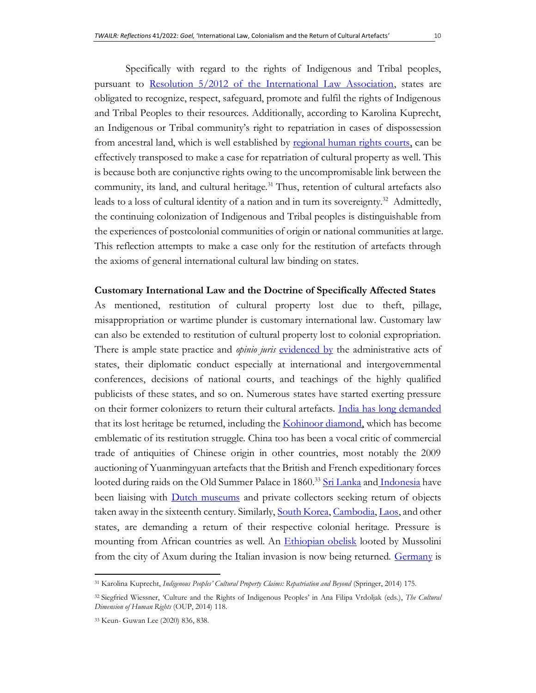Specifically with regard to the rights of Indigenous and Tribal peoples, pursuant to [Resolution 5/2012 of the International Law Association,](https://www.google.com/url?sa=t&rct=j&q=&esrc=s&source=web&cd=&ved=2ahUKEwjkkfiGjIjxAhWFA3IKHX-EAe0QFjABegQIBRAD&url=https%3A%2F%2Fila.vettoreweb.com%2FStorage%2FDownload.aspx%3FDbStorageId%3D1242%26StorageFileGuid%3D8ec956d5-2aa5-4ba2-9bf7-13de4659ee65&usg=AOvVaw3WEx7Ad58eetWwcRnSbcsS) states are obligated to recognize, respect, safeguard, promote and fulfil the rights of Indigenous and Tribal Peoples to their resources. Additionally, according to Karolina Kuprecht, an Indigenous or Tribal community's right to repatriation in cases of dispossession from ancestral land, which is well established by [regional human rights courts,](https://www.achpr.org/public/Document/file/English/achpr30_155_96_eng.pdf) can be effectively transposed to make a case for repatriation of cultural property as well. This is because both are conjunctive rights owing to the uncompromisable link between the community, its land, and cultural heritage.<sup>31</sup> Thus, retention of cultural artefacts also leads to a loss of cultural identity of a nation and in turn its sovereignty.<sup>32</sup> Admittedly, the continuing colonization of Indigenous and Tribal peoples is distinguishable from the experiences of postcolonial communities of origin or national communities at large. This reflection attempts to make a case only for the restitution of artefacts through

#### **Customary International Law and the Doctrine of Specifically Affected States**

the axioms of general international cultural law binding on states.

As mentioned, restitution of cultural property lost due to theft, pillage, misappropriation or wartime plunder is customary international law. Customary law can also be extended to restitution of cultural property lost to colonial expropriation. There is ample state practice and *opinio juris* [evidenced by](https://legal.un.org/ilc/texts/instruments/english/commentaries/1_13_2018.pdf) the administrative acts of states, their diplomatic conduct especially at international and intergovernmental conferences, decisions of national courts, and teachings of the highly qualified publicists of these states, and so on. Numerous states have started exerting pressure on their former colonizers to return their cultural artefacts. [India has long demanded](https://www.theweek.co.uk/103267/should-museums-return-their-colonial-artefacts) that its lost heritage be returned, including the [Kohinoor diamond,](https://ir.lawnet.fordham.edu/cgi/viewcontent.cgi?article=2098&context=ilj) which has become emblematic of its restitution struggle. China too has been a vocal critic of commercial trade of antiquities of Chinese origin in other countries, most notably the 2009 auctioning of Yuanmingyuan artefacts that the British and French expeditionary forces looted during raids on the Old Summer Palace in 1860.<sup>33</sup> [Sri Lanka](http://www.colombopage.com/archive_19A/Mar12_1552407410CH.php) and [Indonesia](https://en.unesco.org/courier/2020-4/netherlands-museums-confront-countrys-colonial-past) have been liaising with **Dutch museums** and private collectors seeking return of objects taken away in the sixteenth century. Similarly, [South Korea,](https://www.reuters.com/article/idINIndia-52761220101109) [Cambodia,](https://www.bbc.com/news/world-asia-35378747) [Laos,](https://scholarship.law.upenn.edu/cgi/viewcontent.cgi?article=1182&context=penn_law_review) and other states, are demanding a return of their respective colonial heritage. Pressure is mounting from African countries as well. An *Ethiopian obelisk* looted by Mussolini from the city of Axum during the Italian invasion is now being returned. [Germany](https://www.bbc.com/news/world-africa-56949003) is

<sup>31</sup> Karolina Kuprecht, *Indigenous Peoples' Cultural Property Claims: Repatriation and Beyond* (Springer, 2014) 175.

<sup>32</sup> Siegfried Wiessner, 'Culture and the Rights of Indigenous Peoples' in Ana Filipa Vrdoljak (eds.), *The Cultural Dimension of Human Rights* (OUP, 2014) 118.

<sup>33</sup> Keun- Guwan Lee (2020) 836, 838.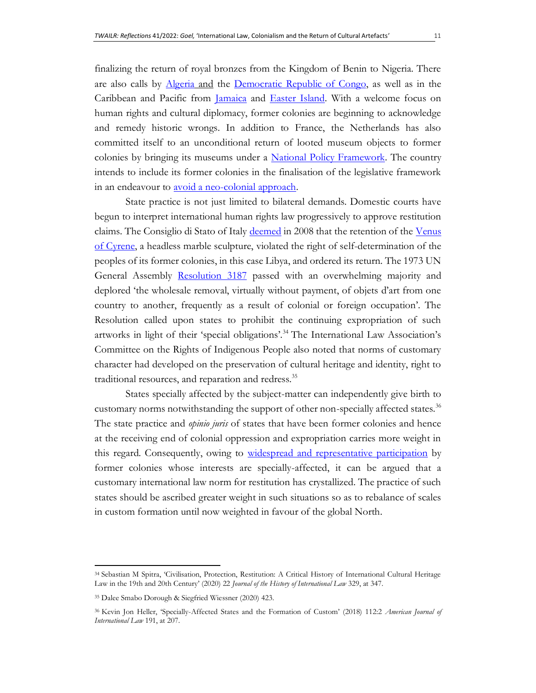finalizing the return of royal bronzes from the Kingdom of Benin to Nigeria. There are also calls by [Algeria](https://www.bbc.com/news/world-africa-53270288) and the [Democratic Republic of Congo,](https://www.euronews.com/2018/12/09/belgium-colonial-museum-reopens-amid-drc-s-demand-for-return-of-artifacts) as well as in the Caribbean and Pacific from *Jamaica* and *Easter Island*. With a welcome focus on human rights and cultural diplomacy, former colonies are beginning to acknowledge and remedy historic wrongs. In addition to France, the Netherlands has also committed itself to an unconditional return of looted museum objects to former colonies by bringing its museums under a [National Policy Framework.](https://www.government.nl/latest/news/2021/01/29/government-redressing-an-injustice-by-returning-cultural-heritage-objects-to-their-country-of-origin) The country intends to include its former colonies in the finalisation of the legislative framework in an endeavour to <u>avoid a neo-colonial approach</u>.

State practice is not just limited to bilateral demands. Domestic courts have begun to interpret international human rights law progressively to approve restitution claims. The Consiglio di Stato of Italy [deemed](https://plone.unige.ch/art-adr/cases-affaires/venus-of-cyrene-2013-italy-and-libya) in 2008 that the retention of the Venus [of Cyrene,](https://plone.unige.ch/art-adr/cases-affaires/venus-of-cyrene-2013-italy-and-libya/case-note-2013-venus-of-cyrene-2013-italy-and-libya) a headless marble sculpture, violated the right of self-determination of the peoples of its former colonies, in this case Libya, and ordered its return. The 1973 UN General Assembly [Resolution 3187](http://www.unesco.org/culture/laws/pdf/UNGA_resolution3187.pdf) passed with an overwhelming majority and deplored 'the wholesale removal, virtually without payment, of objets d'art from one country to another, frequently as a result of colonial or foreign occupation'. The Resolution called upon states to prohibit the continuing expropriation of such artworks in light of their 'special obligations'.<sup>34</sup> The International Law Association's Committee on the Rights of Indigenous People also noted that norms of customary character had developed on the preservation of cultural heritage and identity, right to traditional resources, and reparation and redress.<sup>35</sup>

States specially affected by the subject-matter can independently give birth to customary norms notwithstanding the support of other non-specially affected states.<sup>36</sup> The state practice and *opinio juris* of states that have been former colonies and hence at the receiving end of colonial oppression and expropriation carries more weight in this regard. Consequently, owing to [widespread and representative participation](https://www.icj-cij.org/public/files/case-related/52/052-19690220-JUD-01-00-EN.pdf) by former colonies whose interests are specially-affected, it can be argued that a customary international law norm for restitution has crystallized. The practice of such states should be ascribed greater weight in such situations so as to rebalance of scales in custom formation until now weighted in favour of the global North.

<sup>34</sup> Sebastian M Spitra, 'Civilisation, Protection, Restitution: A Critical History of International Cultural Heritage Law in the 19th and 20th Century' (2020) 22 *Journal of the History of International Law* 329, at 347.

<sup>35</sup> Dalee Smabo Dorough & Siegfried Wiessner (2020) 423.

<sup>36</sup> Kevin Jon Heller, 'Specially-Affected States and the Formation of Custom' (2018) 112:2 *American Journal of International Law* 191, at 207.